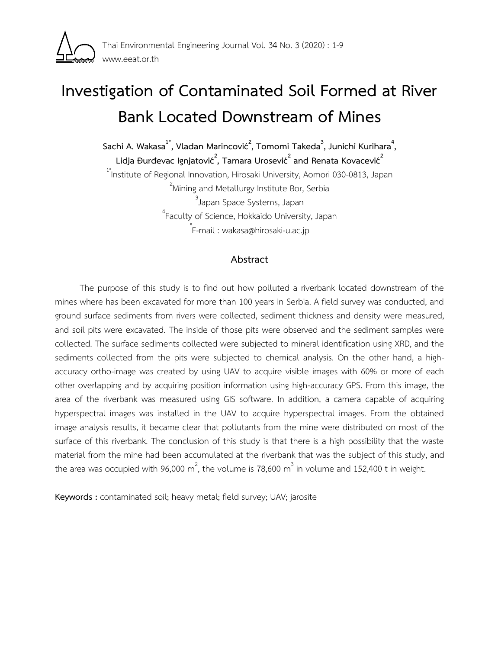

# **Investigation of Contaminated Soil Formed at River Bank Located Downstream of Mines**

**Sachi A. Wakasa1\* , Vladan Marincović<sup>2</sup> , Tomomi Takeda<sup>3</sup> , Junichi Kurihara 4 ,**   $L$ idja Đurđevac Ignjatović $^2$ , Tamara Urosević $^2$  and Renata Kovacević $^2$ 

<sup>1\*</sup>Institute of Regional Innovation, Hirosaki University, Aomori 030-0813, Japan  $^{2}$ Mining and Metallurgy Institute Bor, Serbia <sup>3</sup>Japan Space Systems, Japan 4 Faculty of Science, Hokkaido University, Japan

\* E-mail : wakasa@hirosaki-u.ac.jp

### **Abstract**

The purpose of this study is to find out how polluted a riverbank located downstream of the mines where has been excavated for more than 100 years in Serbia. A field survey was conducted, and ground surface sediments from rivers were collected, sediment thickness and density were measured, and soil pits were excavated. The inside of those pits were observed and the sediment samples were collected. The surface sediments collected were subjected to mineral identification using XRD, and the sediments collected from the pits were subjected to chemical analysis. On the other hand, a highaccuracy ortho-image was created by using UAV to acquire visible images with 60% or more of each other overlapping and by acquiring position information using high-accuracy GPS. From this image, the area of the riverbank was measured using GIS software. In addition, a camera capable of acquiring hyperspectral images was installed in the UAV to acquire hyperspectral images. From the obtained image analysis results, it became clear that pollutants from the mine were distributed on most of the surface of this riverbank. The conclusion of this study is that there is a high possibility that the waste material from the mine had been accumulated at the riverbank that was the subject of this study, and the area was occupied with 96,000 m<sup>2</sup>, the volume is 78,600 m<sup>3</sup> in volume and 152,400 t in weight.

**Keywords :** contaminated soil; heavy metal; field survey; UAV; jarosite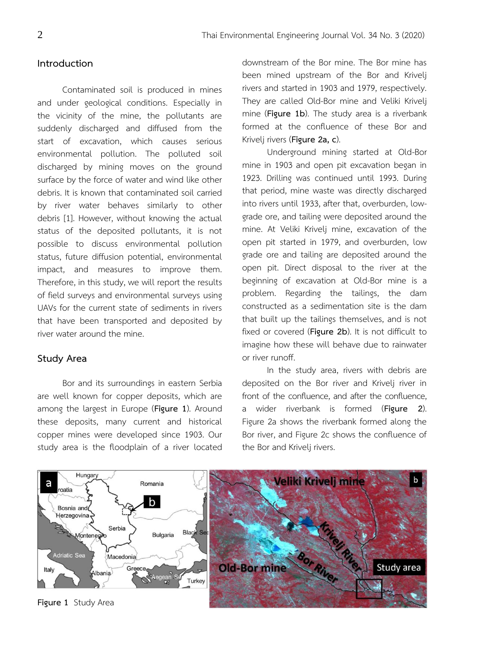### **Introduction**

Contaminated soil is produced in mines and under geological conditions. Especially in the vicinity of the mine, the pollutants are suddenly discharged and diffused from the start of excavation, which causes serious environmental pollution. The polluted soil discharged by mining moves on the ground surface by the force of water and wind like other debris. It is known that contaminated soil carried by river water behaves similarly to other debris [1]. However, without knowing the actual status of the deposited pollutants, it is not possible to discuss environmental pollution status, future diffusion potential, environmental impact, and measures to improve them. Therefore, in this study, we will report the results of field surveys and environmental surveys using UAVs for the current state of sediments in rivers that have been transported and deposited by river water around the mine.

# **Study Area**

Bor and its surroundings in eastern Serbia are well known for copper deposits, which are among the largest in Europe (**Figure 1**). Around these deposits, many current and historical copper mines were developed since 1903. Our study area is the floodplain of a river located

downstream of the Bor mine. The Bor mine has been mined upstream of the Bor and Krivelj rivers and started in 1903 and 1979, respectively. They are called Old-Bor mine and Veliki Krivelj mine (**Figure 1b**). The study area is a riverbank formed at the confluence of these Bor and Krivelj rivers (**Figure 2a, c**).

Underground mining started at Old-Bor mine in 1903 and open pit excavation began in 1923. Drilling was continued until 1993. During that period, mine waste was directly discharged into rivers until 1933, after that, overburden, lowgrade ore, and tailing were deposited around the mine. At Veliki Krivelj mine, excavation of the open pit started in 1979, and overburden, low grade ore and tailing are deposited around the open pit. Direct disposal to the river at the beginning of excavation at Old-Bor mine is a problem. Regarding the tailings, the dam constructed as a sedimentation site is the dam that built up the tailings themselves, and is not fixed or covered (**Figure 2b**). It is not difficult to imagine how these will behave due to rainwater or river runoff.

In the study area, rivers with debris are deposited on the Bor river and Krivelj river in front of the confluence, and after the confluence, a wider riverbank is formed (**Figure 2**). Figure 2a shows the riverbank formed along the Bor river, and Figure 2c shows the confluence of the Bor and Krivelj rivers.



**Figure 1** Study Area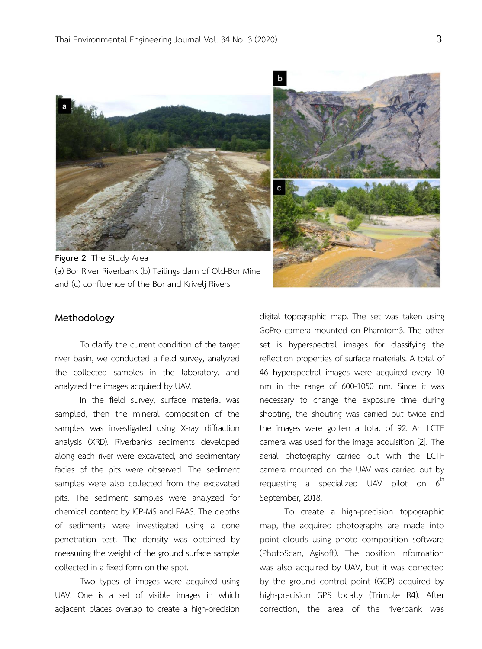

**Figure 2** The Study Area (a) Bor River Riverbank (b) Tailings dam of Old-Bor Mine and (c) confluence of the Bor and Krivelj Rivers



# **Methodology**

To clarify the current condition of the target river basin, we conducted a field survey, analyzed the collected samples in the laboratory, and analyzed the images acquired by UAV.

In the field survey, surface material was sampled, then the mineral composition of the samples was investigated using X-ray diffraction analysis (XRD). Riverbanks sediments developed along each river were excavated, and sedimentary facies of the pits were observed. The sediment samples were also collected from the excavated pits. The sediment samples were analyzed for chemical content by ICP-MS and FAAS. The depths of sediments were investigated using a cone penetration test. The density was obtained by measuring the weight of the ground surface sample collected in a fixed form on the spot.

Two types of images were acquired using UAV. One is a set of visible images in which adjacent places overlap to create a high-precision digital topographic map. The set was taken using GoPro camera mounted on Phamtom3. The other set is hyperspectral images for classifying the reflection properties of surface materials. A total of 46 hyperspectral images were acquired every 10 nm in the range of 600-1050 nm. Since it was necessary to change the exposure time during shooting, the shouting was carried out twice and the images were gotten a total of 92. An LCTF camera was used for the image acquisition [2]. The aerial photography carried out with the LCTF camera mounted on the UAV was carried out by requesting a specialized UAV pilot on  $6<sup>th</sup>$ September, 2018.

To create a high-precision topographic map, the acquired photographs are made into point clouds using photo composition software (PhotoScan, Agisoft). The position information was also acquired by UAV, but it was corrected by the ground control point (GCP) acquired by high-precision GPS locally (Trimble R4). After correction, the area of the riverbank was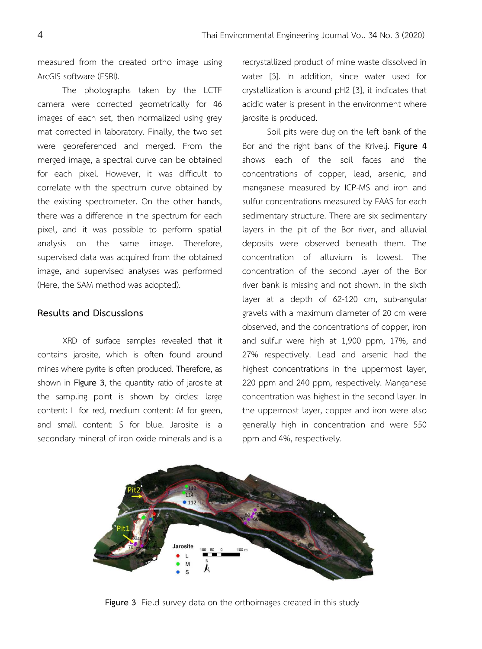measured from the created ortho image using ArcGIS software (ESRI).

The photographs taken by the LCTF camera were corrected geometrically for 46 images of each set, then normalized using grey mat corrected in laboratory. Finally, the two set were georeferenced and merged. From the merged image, a spectral curve can be obtained for each pixel. However, it was difficult to correlate with the spectrum curve obtained by the existing spectrometer. On the other hands, there was a difference in the spectrum for each pixel, and it was possible to perform spatial analysis on the same image. Therefore, supervised data was acquired from the obtained image, and supervised analyses was performed (Here, the SAM method was adopted).

### **Results and Discussions**

XRD of surface samples revealed that it contains jarosite, which is often found around mines where pyrite is often produced. Therefore, as shown in **Figure 3**, the quantity ratio of jarosite at the sampling point is shown by circles: large content: L for red, medium content: M for green, and small content: S for blue. Jarosite is a secondary mineral of iron oxide minerals and is a recrystallized product of mine waste dissolved in water [3]. In addition, since water used for crystallization is around pH2 [3], it indicates that acidic water is present in the environment where jarosite is produced.

Soil pits were dug on the left bank of the Bor and the right bank of the Krivelj. **Figure 4** shows each of the soil faces and the concentrations of copper, lead, arsenic, and manganese measured by ICP-MS and iron and sulfur concentrations measured by FAAS for each sedimentary structure. There are six sedimentary layers in the pit of the Bor river, and alluvial deposits were observed beneath them. The concentration of alluvium is lowest. The concentration of the second layer of the Bor river bank is missing and not shown. In the sixth layer at a depth of 62-120 cm, sub-angular gravels with a maximum diameter of 20 cm were observed, and the concentrations of copper, iron and sulfur were high at 1,900 ppm, 17%, and 27% respectively. Lead and arsenic had the highest concentrations in the uppermost layer, 220 ppm and 240 ppm, respectively. Manganese concentration was highest in the second layer. In the uppermost layer, copper and iron were also generally high in concentration and were 550 ppm and 4%, respectively.



**Figure 3** Field survey data on the orthoimages created in this study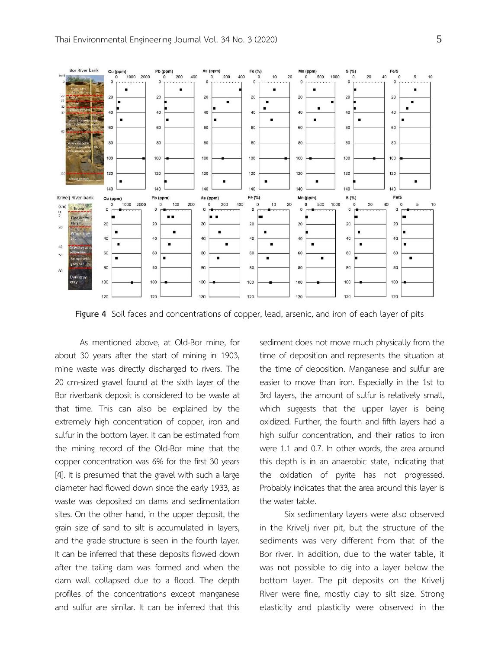

**Figure 4** Soil faces and concentrations of copper, lead, arsenic, and iron of each layer of pits

As mentioned above, at Old-Bor mine, for about 30 years after the start of mining in 1903, mine waste was directly discharged to rivers. The 20 cm-sized gravel found at the sixth layer of the Bor riverbank deposit is considered to be waste at that time. This can also be explained by the extremely high concentration of copper, iron and sulfur in the bottom layer. It can be estimated from the mining record of the Old-Bor mine that the copper concentration was 6% for the first 30 years [4]. It is presumed that the gravel with such a large diameter had flowed down since the early 1933, as waste was deposited on dams and sedimentation sites. On the other hand, in the upper deposit, the grain size of sand to silt is accumulated in layers, and the grade structure is seen in the fourth layer. It can be inferred that these deposits flowed down after the tailing dam was formed and when the dam wall collapsed due to a flood. The depth profiles of the concentrations except manganese and sulfur are similar. It can be inferred that this

sediment does not move much physically from the time of deposition and represents the situation at the time of deposition. Manganese and sulfur are easier to move than iron. Especially in the 1st to 3rd layers, the amount of sulfur is relatively small, which suggests that the upper layer is being oxidized. Further, the fourth and fifth layers had a high sulfur concentration, and their ratios to iron were 1.1 and 0.7. In other words, the area around this depth is in an anaerobic state, indicating that the oxidation of pyrite has not progressed. Probably indicates that the area around this layer is the water table.

Six sedimentary layers were also observed in the Krivelj river pit, but the structure of the sediments was very different from that of the Bor river. In addition, due to the water table, it was not possible to dig into a layer below the bottom layer. The pit deposits on the Krivelj River were fine, mostly clay to silt size. Strong elasticity and plasticity were observed in the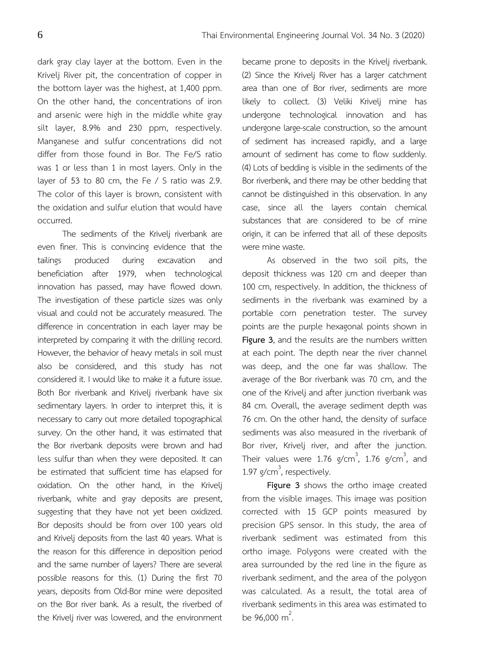dark gray clay layer at the bottom. Even in the Krivelj River pit, the concentration of copper in the bottom layer was the highest, at 1,400 ppm. On the other hand, the concentrations of iron and arsenic were high in the middle white gray silt layer, 8.9% and 230 ppm, respectively. Manganese and sulfur concentrations did not differ from those found in Bor. The Fe/S ratio was 1 or less than 1 in most layers. Only in the layer of 53 to 80 cm, the Fe / S ratio was 2.9. The color of this layer is brown, consistent with the oxidation and sulfur elution that would have occurred.

The sediments of the Krivelj riverbank are even finer. This is convincing evidence that the tailings produced during excavation and beneficiation after 1979, when technological innovation has passed, may have flowed down. The investigation of these particle sizes was only visual and could not be accurately measured. The difference in concentration in each layer may be interpreted by comparing it with the drilling record. However, the behavior of heavy metals in soil must also be considered, and this study has not considered it. I would like to make it a future issue. Both Bor riverbank and Krivelj riverbank have six sedimentary layers. In order to interpret this, it is necessary to carry out more detailed topographical survey. On the other hand, it was estimated that the Bor riverbank deposits were brown and had less sulfur than when they were deposited. It can be estimated that sufficient time has elapsed for oxidation. On the other hand, in the Krivelj riverbank, white and gray deposits are present, suggesting that they have not yet been oxidized. Bor deposits should be from over 100 years old and Krivelj deposits from the last 40 years. What is the reason for this difference in deposition period and the same number of layers? There are several possible reasons for this. (1) During the first 70 years, deposits from Old-Bor mine were deposited on the Bor river bank. As a result, the riverbed of the Krivelj river was lowered, and the environment became prone to deposits in the Krivelj riverbank. (2) Since the Krivelj River has a larger catchment area than one of Bor river, sediments are more likely to collect. (3) Veliki Krivelj mine has undergone technological innovation and has undergone large-scale construction, so the amount of sediment has increased rapidly, and a large amount of sediment has come to flow suddenly. (4) Lots of bedding is visible in the sediments of the Bor riverbenk, and there may be other bedding that cannot be distinguished in this observation. In any case, since all the layers contain chemical substances that are considered to be of mine origin, it can be inferred that all of these deposits were mine waste.

As observed in the two soil pits, the deposit thickness was 120 cm and deeper than 100 cm, respectively. In addition, the thickness of sediments in the riverbank was examined by a portable corn penetration tester. The survey points are the purple hexagonal points shown in **Figure 3**, and the results are the numbers written at each point. The depth near the river channel was deep, and the one far was shallow. The average of the Bor riverbank was 70 cm, and the one of the Krivelj and after junction riverbank was 84 cm. Overall, the average sediment depth was 76 cm. On the other hand, the density of surface sediments was also measured in the riverbank of Bor river, Krivelj river, and after the junction. Their values were 1.76  $g/cm^3$ , 1.76  $g/cm^3$ , and 1.97 g/cm<sup>3</sup>, respectively.

**Figure 3** shows the ortho image created from the visible images. This image was position corrected with 15 GCP points measured by precision GPS sensor. In this study, the area of riverbank sediment was estimated from this ortho image. Polygons were created with the area surrounded by the red line in the figure as riverbank sediment, and the area of the polygon was calculated. As a result, the total area of riverbank sediments in this area was estimated to be  $96,000 \text{ m}^2$ . .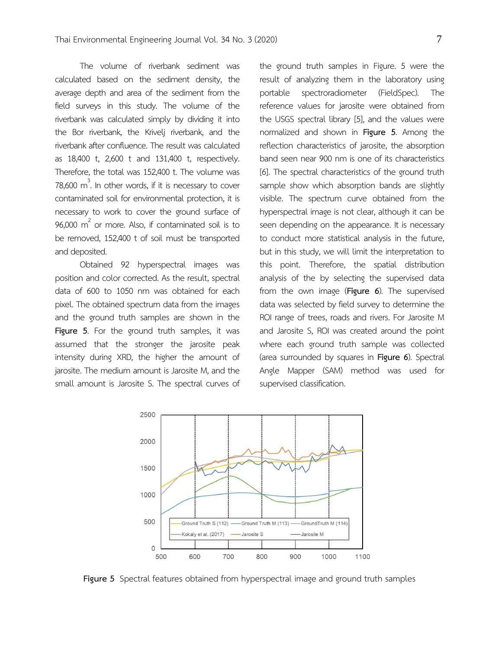The volume of riverbank sediment was calculated based on the sediment density, the average depth and area of the sediment from the field surveys in this study. The volume of the riverbank was calculated simply by dividing it into the Bor riverbank, the Krivelj riverbank, and the riverbank after confluence. The result was calculated as 18,400 t, 2,600 t and 131,400 t, respectively. Therefore, the total was 152,400 t. The volume was 78,600  $m^3$ . In other words, if it is necessary to cover contaminated soil for environmental protection, it is necessary to work to cover the ground surface of 96,000  $m^2$  or more. Also, if contaminated soil is to be removed, 152,400 t of soil must be transported and deposited.

Obtained 92 hyperspectral images was position and color corrected. As the result, spectral data of 600 to 1050 nm was obtained for each pixel. The obtained spectrum data from the images and the ground truth samples are shown in the **Figure 5**. For the ground truth samples, it was assumed that the stronger the jarosite peak intensity during XRD, the higher the amount of jarosite. The medium amount is Jarosite M, and the small amount is Jarosite S. The spectral curves of

the ground truth samples in Figure. 5 were the result of analyzing them in the laboratory using portable spectroradiometer (FieldSpec). The reference values for jarosite were obtained from the USGS spectral library [5], and the values were normalized and shown in **Figure 5**. Among the reflection characteristics of jarosite, the absorption band seen near 900 nm is one of its characteristics [6]. The spectral characteristics of the ground truth sample show which absorption bands are slightly visible. The spectrum curve obtained from the hyperspectral image is not clear, although it can be seen depending on the appearance. It is necessary to conduct more statistical analysis in the future, but in this study, we will limit the interpretation to this point. Therefore, the spatial distribution analysis of the by selecting the supervised data from the own image (**Figure 6**). The supervised data was selected by field survey to determine the ROI range of trees, roads and rivers. For Jarosite M and Jarosite S, ROI was created around the point where each ground truth sample was collected (area surrounded by squares in **Figure 6**). Spectral Angle Mapper (SAM) method was used for supervised classification.



**Figure 5** Spectral features obtained from hyperspectral image and ground truth samples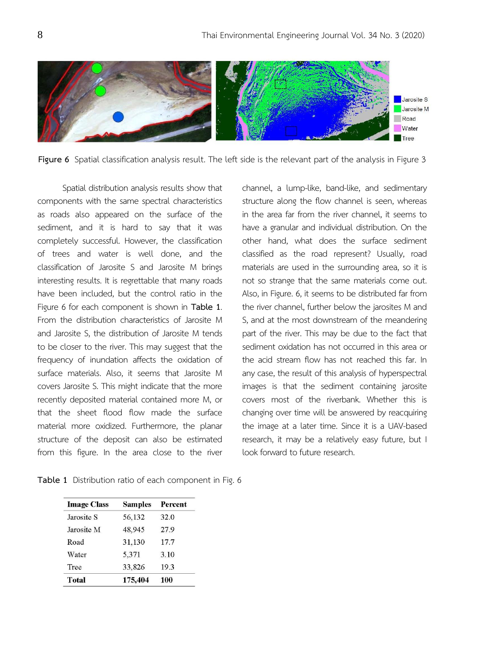

**Figure 6** Spatial classification analysis result. The left side is the relevant part of the analysis in Figure 3

Spatial distribution analysis results show that components with the same spectral characteristics as roads also appeared on the surface of the sediment, and it is hard to say that it was completely successful. However, the classification of trees and water is well done, and the classification of Jarosite S and Jarosite M brings interesting results. It is regrettable that many roads have been included, but the control ratio in the Figure 6 for each component is shown in **Table 1**. From the distribution characteristics of Jarosite M and Jarosite S, the distribution of Jarosite M tends to be closer to the river. This may suggest that the frequency of inundation affects the oxidation of surface materials. Also, it seems that Jarosite M covers Jarosite S. This might indicate that the more recently deposited material contained more M, or that the sheet flood flow made the surface material more oxidized. Furthermore, the planar structure of the deposit can also be estimated from this figure. In the area close to the river

**Table 1** Distribution ratio of each component in Fig. 6

| channel, a lump-like, band-like, and sedimentary        |
|---------------------------------------------------------|
| structure along the flow channel is seen, whereas       |
| in the area far from the river channel, it seems to     |
| have a granular and individual distribution. On the     |
| other hand, what does the surface sediment              |
| classified as the road represent? Usually, road         |
| materials are used in the surrounding area, so it is    |
| not so strange that the same materials come out.        |
| Also, in Figure. 6, it seems to be distributed far from |
| the river channel, further below the jarosites M and    |
| S, and at the most downstream of the meandering         |
| part of the river. This may be due to the fact that     |
| sediment oxidation has not occurred in this area or     |
| the acid stream flow has not reached this far. In       |
| any case, the result of this analysis of hyperspectral  |
| images is that the sediment containing jarosite         |
| covers most of the riverbank. Whether this is           |
| changing over time will be answered by reacquiring      |
| the image at a later time. Since it is a UAV-based      |
| research, it may be a relatively easy future, but I     |
| look forward to future research.                        |

| <b>Image Class</b> | <b>Samples</b> | Percent |
|--------------------|----------------|---------|
| Jarosite S         | 56,132         | 32.0    |
| Jarosite M         | 48,945         | 27.9    |
| Road               | 31,130         | 17.7    |
| Water              | 5.371          | 3.10    |
| Tree               | 33,826         | 19.3    |
| Total              | 175.404        | 100     |